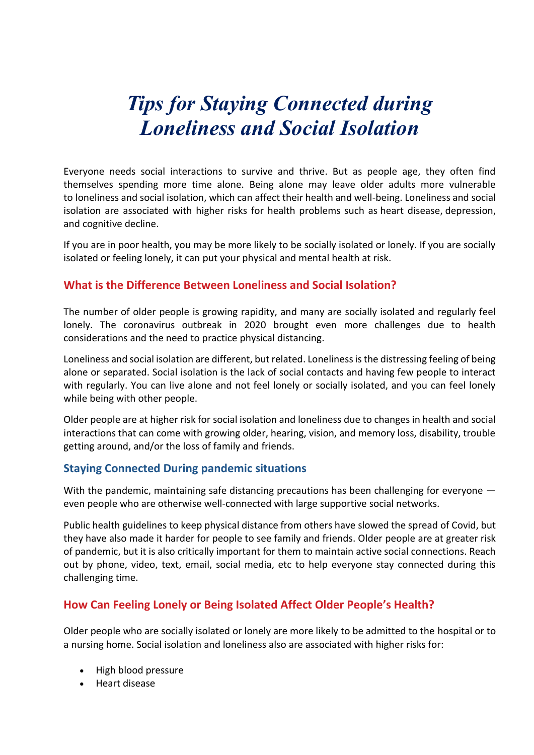# *Tips for Staying Connected during Loneliness and Social Isolation*

Everyone needs social interactions to survive and thrive. But as people age, they often find themselves spending more time alone. Being alone may leave older adults more vulnerable to loneliness and social isolation, which can affect their health and well-being. Loneliness and social isolation are associated with higher risks for health problems such as heart disease, depression, and cognitive decline.

If you are in poor health, you may be more likely to be socially isolated or lonely. If you are socially isolated or feeling lonely, it can put your physical and mental health at risk.

## **What is the Difference Between Loneliness and Social Isolation?**

The number of older people is growing rapidity, and many are socially isolated and regularly feel lonely. The coronavirus outbreak in 2020 brought even more challenges due to health considerations and the need to practice physical distancing.

Loneliness and social isolation are different, but related. Loneliness is the distressing feeling of being alone or separated. Social isolation is the lack of social contacts and having few people to interact with regularly. You can live alone and not feel lonely or socially isolated, and you can feel lonely while being with other people.

Older people are at higher risk for social isolation and loneliness due to changes in health and social interactions that can come with growing older, hearing, vision, and memory loss, disability, trouble getting around, and/or the loss of family and friends.

### **Staying Connected During pandemic situations**

With the pandemic, maintaining safe distancing precautions has been challenging for everyone even people who are otherwise well-connected with large supportive social networks.

Public health guidelines to keep physical distance from others have slowed the spread of Covid, but they have also made it harder for people to see family and friends. Older people are at greater risk of pandemic, but it is also critically important for them to maintain active social connections. Reach out by phone, video, text, email, social media, etc to help everyone stay connected during this challenging time.

## **How Can Feeling Lonely or Being Isolated Affect Older People's Health?**

Older people who are socially isolated or lonely are more likely to be admitted to the hospital or to a nursing home. Social isolation and loneliness also are associated with higher risks for:

- High blood pressure
- Heart disease